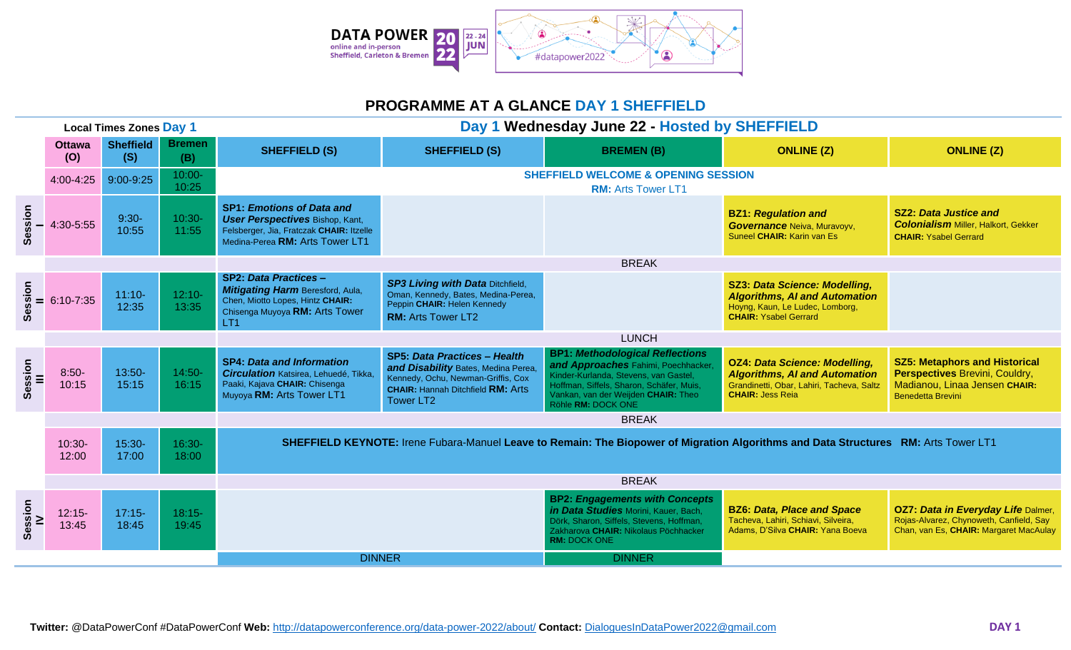

## **PROGRAMME AT A GLANCE DAY 1 SHEFFIELD**

| <b>Local Times Zones Day 1</b> |                      |                         |                      | Day 1 Wednesday June 22 - Hosted by SHEFFIELD                                                                                                             |                                                                                                                                                                                 |                                                                                                                                                                                                                                 |                                                                                                                                                      |                                                                                                                                     |  |  |
|--------------------------------|----------------------|-------------------------|----------------------|-----------------------------------------------------------------------------------------------------------------------------------------------------------|---------------------------------------------------------------------------------------------------------------------------------------------------------------------------------|---------------------------------------------------------------------------------------------------------------------------------------------------------------------------------------------------------------------------------|------------------------------------------------------------------------------------------------------------------------------------------------------|-------------------------------------------------------------------------------------------------------------------------------------|--|--|
|                                | <b>Ottawa</b><br>(O) | <b>Sheffield</b><br>(S) | <b>Bremen</b><br>(B) | <b>SHEFFIELD (S)</b>                                                                                                                                      | <b>SHEFFIELD (S)</b>                                                                                                                                                            | <b>BREMEN(B)</b>                                                                                                                                                                                                                | <b>ONLINE (Z)</b>                                                                                                                                    | <b>ONLINE (Z)</b>                                                                                                                   |  |  |
|                                | 4:00-4:25            | 9:00-9:25               | 10:00-<br>10:25      |                                                                                                                                                           |                                                                                                                                                                                 | <b>SHEFFIELD WELCOME &amp; OPENING SESSION</b><br><b>RM: Arts Tower LT1</b>                                                                                                                                                     |                                                                                                                                                      |                                                                                                                                     |  |  |
| Session                        | 4:30-5:55            | $9:30-$<br>10:55        | 10:30-<br>11:55      | <b>SP1: Emotions of Data and</b><br><b>User Perspectives Bishop, Kant,</b><br>Felsberger, Jia, Fratczak CHAIR: Itzelle<br>Medina-Perea RM: Arts Tower LT1 |                                                                                                                                                                                 |                                                                                                                                                                                                                                 | <b>BZ1: Regulation and</b><br>Governance Neiva, Muravoyv,<br>Suneel CHAIR: Karin van Es                                                              | <b>SZ2: Data Justice and</b><br><b>Colonialism Miller, Halkort, Gekker</b><br><b>CHAIR: Ysabel Gerrard</b>                          |  |  |
|                                |                      |                         |                      | <b>BREAK</b>                                                                                                                                              |                                                                                                                                                                                 |                                                                                                                                                                                                                                 |                                                                                                                                                      |                                                                                                                                     |  |  |
| Session                        | 6:10-7:35            | $11:10 -$<br>12:35      | $12:10-$<br>13:35    | <b>SP2: Data Practices -</b><br>Mitigating Harm Beresford, Aula,<br>Chen, Miotto Lopes, Hintz CHAIR:<br>Chisenga Muyoya RM: Arts Tower<br>LT <sub>1</sub> | <b>SP3 Living with Data Ditchfield,</b><br>Oman, Kennedy, Bates, Medina-Perea,<br>Peppin CHAIR: Helen Kennedy<br><b>RM: Arts Tower LT2</b>                                      |                                                                                                                                                                                                                                 | <b>SZ3: Data Science: Modelling,</b><br><b>Algorithms, AI and Automation</b><br>Hoyng, Kaun, Le Ludec, Lomborg,<br><b>CHAIR: Ysabel Gerrard</b>      |                                                                                                                                     |  |  |
|                                |                      |                         |                      |                                                                                                                                                           | <b>LUNCH</b>                                                                                                                                                                    |                                                                                                                                                                                                                                 |                                                                                                                                                      |                                                                                                                                     |  |  |
| Session<br>III                 | $8:50-$<br>10:15     | 13:50-<br>15:15         | 14:50-<br>16:15      | <b>SP4: Data and Information</b><br>Circulation Katsirea, Lehuedé, Tikka,<br>Paaki, Kajava CHAIR: Chisenga<br>Muyoya RM: Arts Tower LT1                   | <b>SP5: Data Practices - Health</b><br>and Disability Bates, Medina Perea<br>Kennedy, Ochu, Newman-Griffis, Cox<br><b>CHAIR: Hannah Ditchfield RM: Arts</b><br><b>Tower LT2</b> | <b>BP1: Methodological Reflections</b><br>and Approaches Fahimi, Poechhacker,<br>Kinder-Kurlanda, Stevens, van Gastel,<br>Hoffman, Siffels, Sharon, Schäfer, Muis,<br>Vankan, van der Weijden CHAIR: Theo<br>Röhle RM: DOCK ONE | <b>OZ4: Data Science: Modelling,</b><br><b>Algorithms, AI and Automation</b><br>Grandinetti, Obar, Lahiri, Tacheva, Saltz<br><b>CHAIR: Jess Reia</b> | <b>SZ5: Metaphors and Historical</b><br>Perspectives Brevini, Couldry,<br>Madianou, Linaa Jensen CHAIR:<br><b>Benedetta Brevini</b> |  |  |
|                                |                      |                         |                      |                                                                                                                                                           | <b>BREAK</b>                                                                                                                                                                    |                                                                                                                                                                                                                                 |                                                                                                                                                      |                                                                                                                                     |  |  |
|                                | $10:30 -$<br>12:00   | 15:30-<br>17:00         | 16:30-<br>18:00      | SHEFFIELD KEYNOTE: Irene Fubara-Manuel Leave to Remain: The Biopower of Migration Algorithms and Data Structures RM: Arts Tower LT1                       |                                                                                                                                                                                 |                                                                                                                                                                                                                                 |                                                                                                                                                      |                                                                                                                                     |  |  |
|                                |                      |                         |                      |                                                                                                                                                           |                                                                                                                                                                                 | <b>BREAK</b>                                                                                                                                                                                                                    |                                                                                                                                                      |                                                                                                                                     |  |  |
| Session<br>V                   | $12:15-$<br>13:45    | $17:15-$<br>18:45       | $18:15-$<br>19:45    |                                                                                                                                                           |                                                                                                                                                                                 | <b>BP2: Engagements with Concepts</b><br>in Data Studies Morini, Kauer, Bach,<br>Dörk, Sharon, Siffels, Stevens, Hoffman,<br>Zakharova CHAIR: Nikolaus Pöchhacker<br><b>RM: DOCK ONE</b>                                        | <b>BZ6: Data, Place and Space</b><br>Tacheva, Lahiri, Schiavi, Silveira,<br>Adams, D'Silva CHAIR: Yana Boeva                                         | <b>OZ7: Data in Everyday Life Dalmer,</b><br>Rojas-Alvarez, Chynoweth, Canfield, Say<br>Chan, van Es, CHAIR: Margaret MacAulay      |  |  |
|                                |                      |                         |                      | <b>DINNER</b>                                                                                                                                             |                                                                                                                                                                                 | <b>DINNER</b>                                                                                                                                                                                                                   |                                                                                                                                                      |                                                                                                                                     |  |  |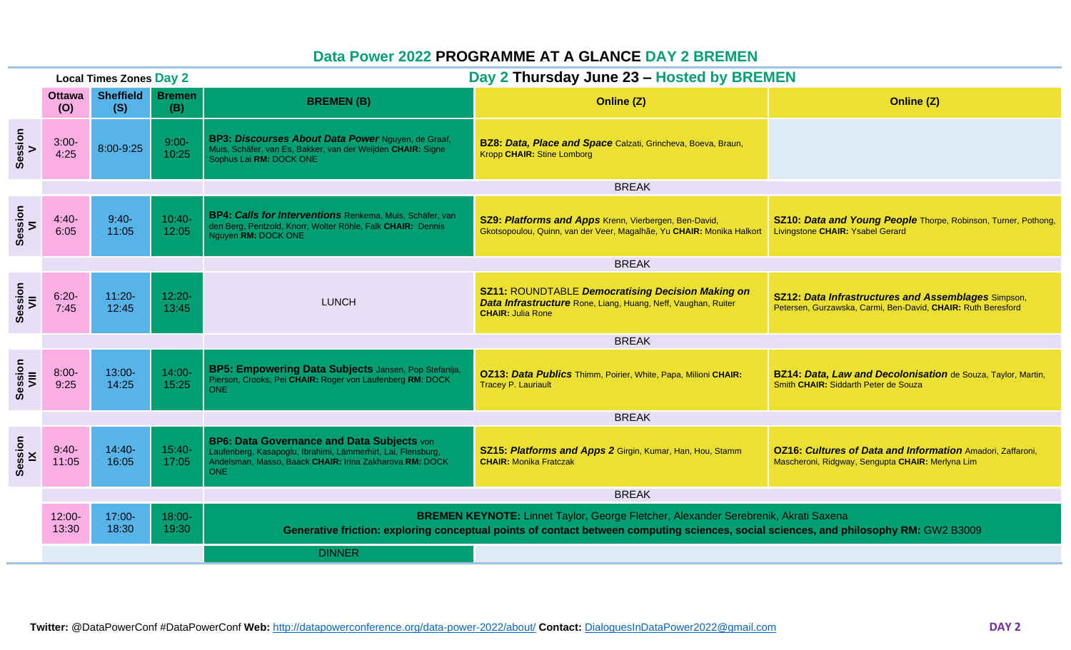## **Data Power 2022 PROGRAMME AT A GLANCE DAY 2 BREMEN**

| <b>Local Times Zones Day 2</b> |                      |                         |                      | Day 2 Thursday June 23 - Hosted by BREMEN                                                                                                                                                                                    |                                                                                                                                                       |                                                                                                                            |  |  |  |  |
|--------------------------------|----------------------|-------------------------|----------------------|------------------------------------------------------------------------------------------------------------------------------------------------------------------------------------------------------------------------------|-------------------------------------------------------------------------------------------------------------------------------------------------------|----------------------------------------------------------------------------------------------------------------------------|--|--|--|--|
|                                | <b>Ottawa</b><br>(O) | <b>Sheffield</b><br>(S) | <b>Bremen</b><br>(B) | <b>BREMEN(B)</b>                                                                                                                                                                                                             | Online (Z)                                                                                                                                            | Online (Z)                                                                                                                 |  |  |  |  |
| Session<br>V                   | $3:00 -$<br>4:25     | 8:00-9:25               | $9:00-$<br>10:25     | BP3: Discourses About Data Power Nguyen, de Graaf,<br>Muis, Schäfer, van Es, Bakker, van der Weijden CHAIR: Signe<br>Sophus Lai RM: DOCK ONE                                                                                 | BZ8: Data, Place and Space Calzati, Grincheva, Boeva, Braun,<br>Kropp CHAIR: Stine Lomborg                                                            |                                                                                                                            |  |  |  |  |
|                                |                      |                         |                      | <b>BREAK</b>                                                                                                                                                                                                                 |                                                                                                                                                       |                                                                                                                            |  |  |  |  |
| Session<br>VI                  | $4:40-$<br>6:05      | $9:40-$<br>11:05        | $10:40-$<br>12:05    | BP4: Calls for Interventions Renkema, Muis, Schäfer, van<br>den Berg, Pentzold, Knorr, Wolter Röhle, Falk CHAIR: Dennis<br>Nguyen RM: DOCK ONE                                                                               | SZ9: Platforms and Apps Krenn, Vierbergen, Ben-David,<br>Gkotsopoulou, Quinn, van der Veer, Magalhãe, Yu CHAIR: Monika Halkort                        | SZ10: Data and Young People Thorpe, Robinson, Turner, Pothong,<br>Livingstone CHAIR: Ysabel Gerard                         |  |  |  |  |
|                                |                      |                         |                      | <b>BREAK</b>                                                                                                                                                                                                                 |                                                                                                                                                       |                                                                                                                            |  |  |  |  |
| Session<br>VII                 | $6:20-$<br>7:45      | $11:20 -$<br>12:45      | $12:20 -$<br>13:45   | <b>LUNCH</b>                                                                                                                                                                                                                 | <b>SZ11: ROUNDTABLE Democratising Decision Making on</b><br>Data Infrastructure Rone, Liang, Huang, Neff, Vaughan, Ruiter<br><b>CHAIR: Julia Rone</b> | <b>SZ12: Data Infrastructures and Assemblages Simpson,</b><br>Petersen, Gurzawska, Carmi, Ben-David, CHAIR: Ruth Beresford |  |  |  |  |
|                                |                      |                         |                      |                                                                                                                                                                                                                              | <b>BREAK</b>                                                                                                                                          |                                                                                                                            |  |  |  |  |
| Session<br>VIII                | $8:00 -$<br>9:25     | 13:00-<br>14:25         | $14:00 -$<br>15:25   | BP5: Empowering Data Subjects Jansen, Pop Stefanija,<br>Pierson, Crooks, Pei CHAIR: Roger von Laufenberg RM: DOCK<br>ONE                                                                                                     | OZ13: Data Publics Thimm, Poirier, White, Papa, Milioni CHAIR:<br><b>Tracey P. Lauriault</b>                                                          | BZ14: Data, Law and Decolonisation de Souza, Taylor, Martin,<br>Smith CHAIR: Siddarth Peter de Souza                       |  |  |  |  |
|                                |                      |                         |                      |                                                                                                                                                                                                                              |                                                                                                                                                       |                                                                                                                            |  |  |  |  |
| Session<br>K                   | $9:40-$<br>11:05     | $14:40-$<br>16:05       | $15:40-$<br>17:05    | BP6: Data Governance and Data Subjects von<br>Laufenberg, Kasapoglu, Ibrahimi, Lämmerhirt, Lai, Flensburg,<br>Andelsman, Masso, Baack CHAIR: Irina Zakharova RM: DOCK<br>ONE                                                 | SZ15: Platforms and Apps 2 Girgin, Kumar, Han, Hou, Stamm<br><b>CHAIR: Monika Fratczak</b>                                                            | <b>OZ16: Cultures of Data and Information Amadori, Zaffaroni,</b><br>Mascheroni, Ridgway, Sengupta CHAIR: Merlyna Lim      |  |  |  |  |
|                                |                      |                         |                      | <b>BREAK</b>                                                                                                                                                                                                                 |                                                                                                                                                       |                                                                                                                            |  |  |  |  |
|                                | 12:00-<br>13:30      | 17:00-<br>18:30         | 18:00-<br>19:30      | BREMEN KEYNOTE: Linnet Taylor, George Fletcher, Alexander Serebrenik, Akrati Saxena<br>Generative friction: exploring conceptual points of contact between computing sciences, social sciences, and philosophy RM: GW2 B3009 |                                                                                                                                                       |                                                                                                                            |  |  |  |  |
|                                |                      |                         |                      | <b>DINNER</b>                                                                                                                                                                                                                |                                                                                                                                                       |                                                                                                                            |  |  |  |  |